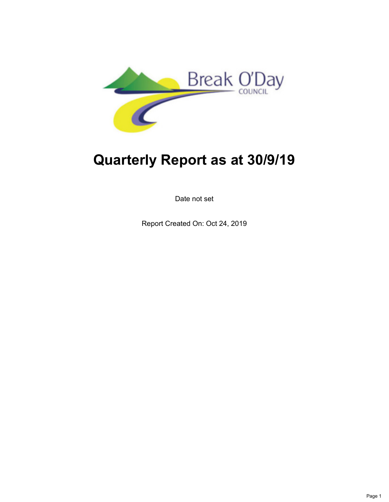

# **Quarterly Report as at 30/9/19**

Date not set

Report Created On: Oct 24, 2019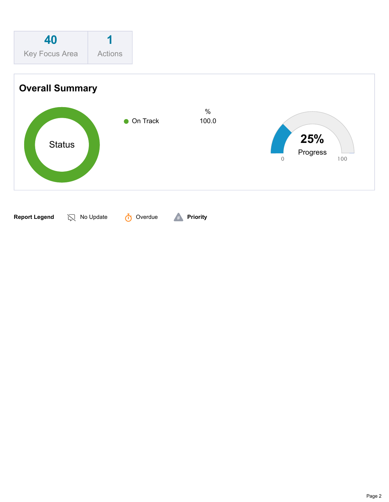

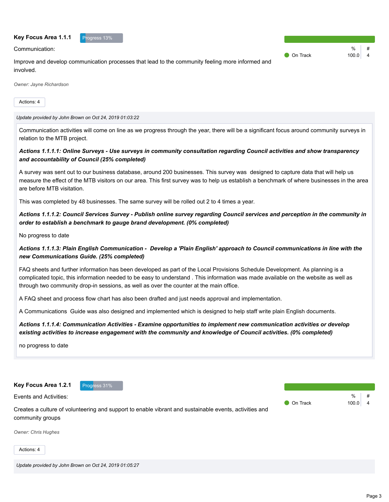#### **Key Focus Area 1.1.1**

Communication:

| Progress 13% |
|--------------|
|              |
|              |

Improve and develop communication processes that lead to the community feeling more informed and involved.

*Owner: Jayne Richardson*

Actions: 4

*Update provided by John Brown on Oct 24, 2019 01:03:22*

Communication activities will come on line as we progress through the year, there will be a significant focus around community surveys in relation to the MTB project.

#### *Actions 1.1.1.1: Online Surveys - Use surveys in community consultation regarding Council activities and show transparency and accountability of Council (25% completed)*

A survey was sent out to our business database, around 200 businesses. This survey was designed to capture data that will help us measure the effect of the MTB visitors on our area. This first survey was to help us establish a benchmark of where businesses in the area are before MTB visitation.

This was completed by 48 businesses. The same survey will be rolled out 2 to 4 times a year.

*Actions 1.1.1.2: Council Services Survey - Publish online survey regarding Council services and perception in the community in order to establish a benchmark to gauge brand development. (0% completed)*

No progress to date

#### *Actions 1.1.1.3: Plain English Communication - Develop a 'Plain English' approach to Council communications in line with the new Communications Guide. (25% completed)*

FAQ sheets and further information has been developed as part of the Local Provisions Schedule Development. As planning is a complicated topic, this information needed to be easy to understand . This information was made available on the website as well as through two community drop-in sessions, as well as over the counter at the main office.

A FAQ sheet and process flow chart has also been drafted and just needs approval and implementation.

A Communications Guide was also designed and implemented which is designed to help staff write plain English documents.

#### *Actions 1.1.1.4: Communication Activities - Examine opportunities to implement new communication activities or develop existing activities to increase engagement with the community and knowledge of Council activities. (0% completed)*

no progress to date

**Key Focus Area 1.2.1** Progress 31%



Events and Activities:

 $\frac{0}{6}$ On Track 100.0 4

Creates a culture of volunteering and support to enable vibrant and sustainable events, activities and community groups

*Owner: Chris Hughes*

Actions: 4

*Update provided by John Brown on Oct 24, 2019 01:05:27*

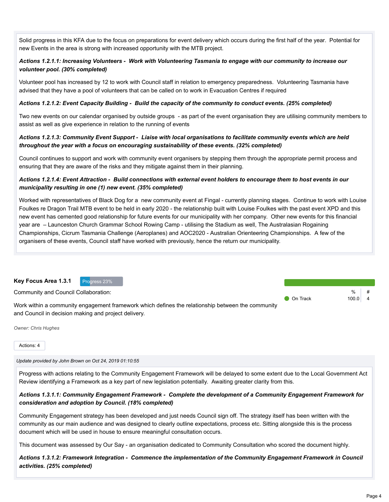Solid progress in this KFA due to the focus on preparations for event delivery which occurs during the first half of the year. Potential for new Events in the area is strong with increased opportunity with the MTB project.

# *Actions 1.2.1.1: Increasing Volunteers - Work with Volunteering Tasmania to engage with our community to increase our volunteer pool. (30% completed)*

Volunteer pool has increased by 12 to work with Council staff in relation to emergency preparedness. Volunteering Tasmania have advised that they have a pool of volunteers that can be called on to work in Evacuation Centres if required

#### *Actions 1.2.1.2: Event Capacity Building - Build the capacity of the community to conduct events. (25% completed)*

Two new events on our calendar organised by outside groups - as part of the event organisation they are utilising community members to assist as well as give experience in relation to the running of events

#### *Actions 1.2.1.3: Community Event Support - Liaise with local organisations to facilitate community events which are held throughout the year with a focus on encouraging sustainability of these events. (32% completed)*

Council continues to support and work with community event organisers by stepping them through the appropriate permit process and ensuring that they are aware of the risks and they mitigate against them in their planning.

#### *Actions 1.2.1.4: Event Attraction - Build connections with external event holders to encourage them to host events in our municipality resulting in one (1) new event. (35% completed)*

Worked with representatives of Black Dog for a new community event at Fingal - currently planning stages. Continue to work with Louise Foulkes re Dragon Trail MTB event to be held in early 2020 - the relationship built with Louise Foulkes with the past event XPD and this new event has cemented good relationship for future events for our municipality with her company. Other new events for this financial year are – Launceston Church Grammar School Rowing Camp - utilising the Stadium as well, The Australasian Rogaining Championships, Cicrum Tasmania Challenge (Aeroplanes) and AOC2020 - Australian Orienteering Championships. A few of the organisers of these events, Council staff have worked with previously, hence the return our municipality.

| Key Focus Area 1.3.1<br>Progress 23%                                                              |                 |           |  |
|---------------------------------------------------------------------------------------------------|-----------------|-----------|--|
| Community and Council Collaboration:                                                              |                 | %         |  |
|                                                                                                   | <b>On Track</b> | $100.0$ 4 |  |
| Work within a community engagement framework which defines the relationship between the community |                 |           |  |
| and Council in decision making and project delivery.                                              |                 |           |  |

*Owner: Chris Hughes*

Actions: 4

*Update provided by John Brown on Oct 24, 2019 01:10:55*

Progress with actions relating to the Community Engagement Framework will be delayed to some extent due to the Local Government Act Review identifying a Framework as a key part of new legislation potentially. Awaiting greater clarity from this.

#### *Actions 1.3.1.1: Community Engagement Framework - Complete the development of a Community Engagement Framework for consideration and adoption by Council. (18% completed)*

Community Engagement strategy has been developed and just needs Council sign off. The strategy itself has been written with the community as our main audience and was designed to clearly outline expectations, process etc. Sitting alongside this is the process document which will be used in house to ensure meaningful consultation occurs.

This document was assessed by Our Say - an organisation dedicated to Community Consultation who scored the document highly.

*Actions 1.3.1.2: Framework Integration - Commence the implementation of the Community Engagement Framework in Council activities. (25% completed)*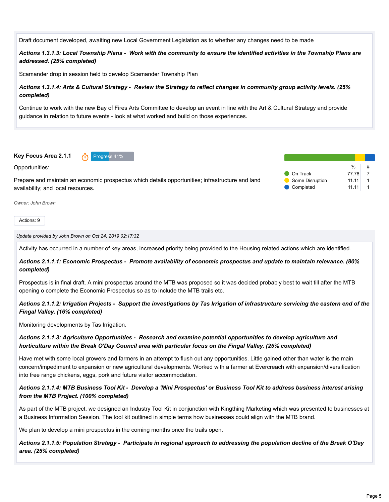Draft document developed, awaiting new Local Government Legislation as to whether any changes need to be made

*Actions 1.3.1.3: Local Township Plans - Work with the community to ensure the identified activities in the Township Plans are addressed. (25% completed)*

Scamander drop in session held to develop Scamander Township Plan

#### *Actions 1.3.1.4: Arts & Cultural Strategy - Review the Strategy to reflect changes in community group activity levels. (25% completed)*

Continue to work with the new Bay of Fires Arts Committee to develop an event in line with the Art & Cultural Strategy and provide guidance in relation to future events - look at what worked and build on those experiences.

**Key Focus Area 2.1.1 https://www.freedocus.org/ Progress 41%** 

Opportunities:

Prepare and maintain an economic prospectus which details opportunities; infrastructure and land availability; and local resources.

|                 | %     | # |
|-----------------|-------|---|
| On Track        | 77 78 |   |
| Some Disruption | 11 11 |   |
| Completed       | 11.11 |   |

*Owner: John Brown*

Actions: 9

#### *Update provided by John Brown on Oct 24, 2019 02:17:32*

Activity has occurred in a number of key areas, increased priority being provided to the Housing related actions which are identified.

*Actions 2.1.1.1: Economic Prospectus - Promote availability of economic prospectus and update to maintain relevance. (80% completed)*

Prospectus is in final draft. A mini prospectus around the MTB was proposed so it was decided probably best to wait till after the MTB opening o complete the Economic Prospectus so as to include the MTB trails etc.

*Actions 2.1.1.2: Irrigation Projects - Support the investigations by Tas Irrigation of infrastructure servicing the eastern end of the Fingal Valley. (16% completed)*

Monitoring developments by Tas Irrigation.

#### *Actions 2.1.1.3: Agriculture Opportunities - Research and examine potential opportunities to develop agriculture and horticulture within the Break O'Day Council area with particular focus on the Fingal Valley. (25% completed)*

Have met with some local growers and farmers in an attempt to flush out any opportunities. Little gained other than water is the main concern/impediment to expansion or new agricultural developments. Worked with a farmer at Evercreach with expansion/diversification into free range chickens, eggs, pork and future visitor accommodation.

#### *Actions 2.1.1.4: MTB Business Tool Kit - Develop a 'Mini Prospectus' or Business Tool Kit to address business interest arising from the MTB Project. (100% completed)*

As part of the MTB project, we designed an Industry Tool Kit in conjunction with Kingthing Marketing which was presented to businesses at a Business Information Session. The tool kit outlined in simple terms how businesses could align with the MTB brand.

We plan to develop a mini prospectus in the coming months once the trails open.

*Actions 2.1.1.5: Population Strategy - Participate in regional approach to addressing the population decline of the Break O'Day area. (25% completed)*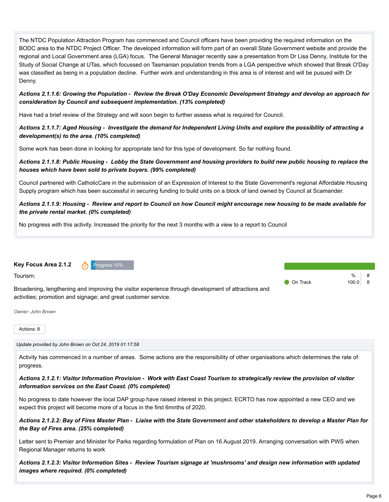| The NTDC Population Attraction Program has commenced and Council officers have been providing the required information on the<br>BODC area to the NTDC Project Officer. The developed information will form part of an overall State Government website and provide the<br>regional and Local Government area (LGA) focus. The General Manager recently saw a presentation from Dr Lisa Denny, Institute for the<br>Study of Social Change at UTas, which focussed on Tasmanian population trends from a LGA perspective which showed that Break O'Day<br>was classified as being in a population decline. Further work and understanding in this area is of interest and will be pusued with Dr<br>Denny. |          |                 |
|------------------------------------------------------------------------------------------------------------------------------------------------------------------------------------------------------------------------------------------------------------------------------------------------------------------------------------------------------------------------------------------------------------------------------------------------------------------------------------------------------------------------------------------------------------------------------------------------------------------------------------------------------------------------------------------------------------|----------|-----------------|
| Actions 2.1.1.6: Growing the Population - Review the Break O'Day Economic Development Strategy and develop an approach for<br>consideration by Council and subsequent implementation. (13% completed)                                                                                                                                                                                                                                                                                                                                                                                                                                                                                                      |          |                 |
| Have had a brief review of the Strategy and will soon begin to further assess what is required for Council.                                                                                                                                                                                                                                                                                                                                                                                                                                                                                                                                                                                                |          |                 |
| Actions 2.1.1.7: Aged Housing - Investigate the demand for Independent Living Units and explore the possibility of attracting a<br>development(s) to the area. (10% completed)                                                                                                                                                                                                                                                                                                                                                                                                                                                                                                                             |          |                 |
| Some work has been done in looking for appropriate land for this type of development. So far nothing found.                                                                                                                                                                                                                                                                                                                                                                                                                                                                                                                                                                                                |          |                 |
| Actions 2.1.1.8: Public Housing - Lobby the State Government and housing providers to build new public housing to replace the<br>houses which have been sold to private buyers. (99% completed)                                                                                                                                                                                                                                                                                                                                                                                                                                                                                                            |          |                 |
| Council partnered with CatholicCare in the submission of an Expression of Interest to the State Government's regional Affordable Housing<br>Supply program which has been successful in securing funding to build units on a block of land owned by Council at Scamander.                                                                                                                                                                                                                                                                                                                                                                                                                                  |          |                 |
| Actions 2.1.1.9: Housing - Review and report to Council on how Council might encourage new housing to be made available for<br>the private rental market. (0% completed)<br>No progress with this activity. Increased the priority for the next 3 months with a view to a report to Council                                                                                                                                                                                                                                                                                                                                                                                                                |          |                 |
| Key Focus Area 2.1.2<br>Progress 10%<br>∩<br>Tourism:<br>Broadening, lengthening and improving the visitor experience through development of attractions and<br>activities; promotion and signage; and great customer service.<br>Owner: John Brown                                                                                                                                                                                                                                                                                                                                                                                                                                                        | On Track | %<br>100.0<br>8 |
| Actions: 8                                                                                                                                                                                                                                                                                                                                                                                                                                                                                                                                                                                                                                                                                                 |          |                 |
| Update provided by John Brown on Oct 24, 2019 01:17:58                                                                                                                                                                                                                                                                                                                                                                                                                                                                                                                                                                                                                                                     |          |                 |
| Activity has commenced in a number of areas. Some actions are the responsibility of other organisations which determines the rate of<br>progress.                                                                                                                                                                                                                                                                                                                                                                                                                                                                                                                                                          |          |                 |
| Actions 2.1.2.1: Visitor Information Provision - Work with East Coast Tourism to strategically review the provision of visitor<br>information services on the East Coast. (0% completed)                                                                                                                                                                                                                                                                                                                                                                                                                                                                                                                   |          |                 |

No progress to date however the local DAP group have raised interest in this project. ECRTO has now appointed a new CEO and we expect this project will become more of a focus in the first 6mnths of 2020.

*Actions 2.1.2.2: Bay of Fires Master Plan - Liaise with the State Government and other stakeholders to develop a Master Plan for the Bay of Fires area. (25% completed)*

Letter sent to Premier and Minister for Parks regarding formulation of Plan on 16 August 2019. Arranging conversation with PWS when Regional Manager returns to work

*Actions 2.1.2.3: Visitor Information Sites - Review Tourism signage at 'mushrooms' and design new information with updated images where required. (0% completed)*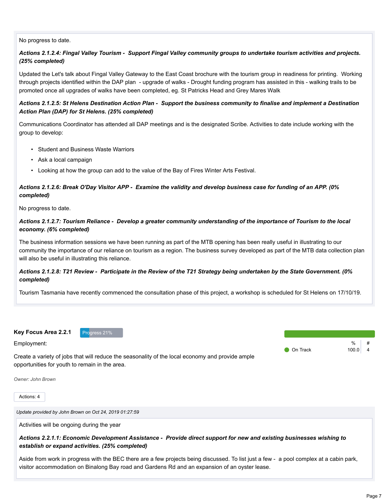#### No progress to date.

## *Actions 2.1.2.4: Fingal Valley Tourism - Support Fingal Valley community groups to undertake tourism activities and projects. (25% completed)*

Updated the Let's talk about Fingal Valley Gateway to the East Coast brochure with the tourism group in readiness for printing. Working through projects identified within the DAP plan - upgrade of walks - Drought funding program has assisted in this - walking trails to be promoted once all upgrades of walks have been completed, eg. St Patricks Head and Grey Mares Walk

### *Actions 2.1.2.5: St Helens Destination Action Plan - Support the business community to finalise and implement a Destination Action Plan (DAP) for St Helens. (25% completed)*

Communications Coordinator has attended all DAP meetings and is the designated Scribe. Activities to date include working with the group to develop:

- Student and Business Waste Warriors
- Ask a local campaign
- Looking at how the group can add to the value of the Bay of Fires Winter Arts Festival.

# *Actions 2.1.2.6: Break O'Day Visitor APP - Examine the validity and develop business case for funding of an APP. (0% completed)*

No progress to date.

#### *Actions 2.1.2.7: Tourism Reliance - Develop a greater community understanding of the importance of Tourism to the local economy. (6% completed)*

The business information sessions we have been running as part of the MTB opening has been really useful in illustrating to our community the importance of our reliance on tourism as a region. The business survey developed as part of the MTB data collection plan will also be useful in illustrating this reliance.

#### *Actions 2.1.2.8: T21 Review - Participate in the Review of the T21 Strategy being undertaken by the State Government. (0% completed)*

Tourism Tasmania have recently commenced the consultation phase of this project, a workshop is scheduled for St Helens on 17/10/19.



Employment:

**O** On Track 100.0 4



Create a variety of jobs that will reduce the seasonality of the local economy and provide ample opportunities for youth to remain in the area.

*Owner: John Brown*

Actions: 4

*Update provided by John Brown on Oct 24, 2019 01:27:59*

Activities will be ongoing during the year

#### *Actions 2.2.1.1: Economic Development Assistance - Provide direct support for new and existing businesses wishing to establish or expand activities. (25% completed)*

Aside from work in progress with the BEC there are a few projects being discussed. To list just a few - a pool complex at a cabin park, visitor accommodation on Binalong Bay road and Gardens Rd and an expansion of an oyster lease.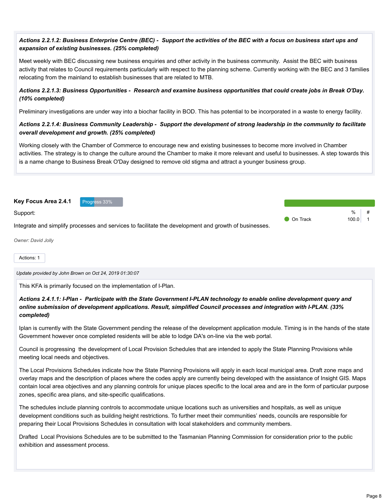# *Actions 2.2.1.2: Business Enterprise Centre (BEC) - Support the activities of the BEC with a focus on business start ups and expansion of existing businesses. (25% completed)*

Meet weekly with BEC discussing new business enquiries and other activity in the business community. Assist the BEC with business activity that relates to Council requirements particularly with respect to the planning scheme. Currently working with the BEC and 3 families relocating from the mainland to establish businesses that are related to MTB.

## *Actions 2.2.1.3: Business Opportunities - Research and examine business opportunities that could create jobs in Break O'Day. (10% completed)*

Preliminary investigations are under way into a biochar facility in BOD. This has potential to be incorporated in a waste to energy facility.

#### *Actions 2.2.1.4: Business Community Leadership - Support the development of strong leadership in the community to facilitate overall development and growth. (25% completed)*

Working closely with the Chamber of Commerce to encourage new and existing businesses to become more involved in Chamber activities. The strategy is to change the culture around the Chamber to make it more relevant and useful to businesses. A step towards this is a name change to Business Break O'Day designed to remove old stigma and attract a younger business group.



*Owner: David Jolly*

Actions: 1

*Update provided by John Brown on Oct 24, 2019 01:30:07*

This KFA is primarily focused on the implementation of I-Plan.

### *Actions 2.4.1.1: I-Plan - Participate with the State Government I-PLAN technology to enable online development query and online submission of development applications. Result, simplified Council processes and integration with I-PLAN. (33% completed)*

Iplan is currently with the State Government pending the release of the development application module. Timing is in the hands of the state Government however once completed residents will be able to lodge DA's on-line via the web portal.

Council is progressing the development of Local Provision Schedules that are intended to apply the State Planning Provisions while meeting local needs and objectives.

The Local Provisions Schedules indicate how the State Planning Provisions will apply in each local municipal area. Draft zone maps and overlay maps and the description of places where the codes apply are currently being developed with the assistance of Insight GIS. Maps contain local area objectives and any planning controls for unique places specific to the local area and are in the form of particular purpose zones, specific area plans, and site-specific qualifications.

The schedules include planning controls to accommodate unique locations such as universities and hospitals, as well as unique development conditions such as building height restrictions. To further meet their communities' needs, councils are responsible for preparing their Local Provisions Schedules in consultation with local stakeholders and community members.

Drafted Local Provisions Schedules are to be submitted to the Tasmanian Planning Commission for consideration prior to the public exhibition and assessment process.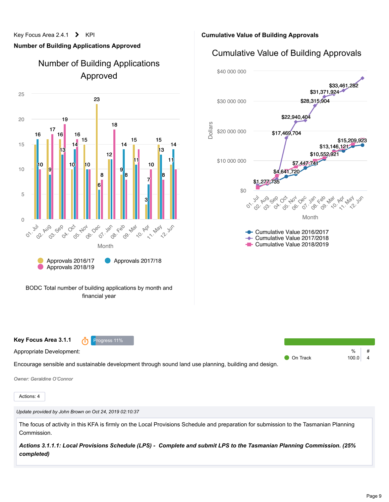#### Key Focus Area 2.4.1 > KPI

# **Number of Building Applications Approved**





**Cumulative Value of Building Approvals**

# Cumulative Value of Building Approvals



*Owner: Geraldine O'Connor*

Appropriate Development:

Actions: 4

*Update provided by John Brown on Oct 24, 2019 02:10:37*

**Key Focus Area 3.1.1 The Progress 11%** 

The focus of activity in this KFA is firmly on the Local Provisions Schedule and preparation for submission to the Tasmanian Planning Commission.

*Actions 3.1.1.1: Local Provisions Schedule (LPS) - Complete and submit LPS to the Tasmanian Planning Commission. (25% completed)*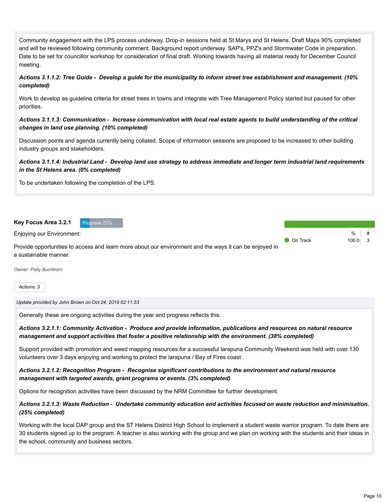Community engagement with the LPS process underway. Drop-in sessions held at St Marys and St Helens. Draft Maps 90% completed and will be reviewed following community comment. Background report underway. SAP's, PPZ's and Stormwater Code in preparation. Date to be set for councillor workshop for consideration of final draft. Working towards having all material ready for December Council meeting.

*Actions 3.1.1.2: Tree Guide - Develop a guide for the municipality to inform street tree establishment and management. (10% completed)*

Work to develop as guideline criteria for street trees in towns and integrate with Tree Management Policy started but paused for other priorities.

#### *Actions 3.1.1.3: Communication - Increase communication with local real estate agents to build understanding of the critical changes in land use planning. (10% completed)*

Discussion points and agenda currently being collated. Scope of information sessions are proposed to be increased to other building industry groups and stakeholders.

## *Actions 3.1.1.4: Industrial Land - Develop land use strategy to address immediate and longer term industrial land requirements in the St Helens area. (0% completed)*

To be undertaken following the completion of the LPS.

**Key Focus Area 3.2.1** Progress 22%



Enjoying our Environment:

Provide opportunities to access and learn more about our environment and the ways it can be enjoyed in a sustainable manner.

*Owner: Polly Buchhorn*

Actions: 3

*Update provided by John Brown on Oct 24, 2019 02:11:53*

Generally these are ongoing activities during the year and progress reflects this.

*Actions 3.2.1.1: Community Activation - Produce and provide information, publications and resources on natural resource management and support activities that foster a positive relationship with the environment. (38% completed)*

Support provided with promotion and weed mapping resources for a successful larapuna Community Weekend was held with over 130 volunteers over 3 days enjoying and working to protect the larapuna / Bay of Fires coast .

#### *Actions 3.2.1.2: Recognition Program - Recognise significant contributions to the environment and natural resource management with targeted awards, grant programs or events. (3% completed)*

Options for recognition activities have been discussed by the NRM Committee for further development.

*Actions 3.2.1.3: Waste Reduction - Undertake community education and activities focused on waste reduction and minimisation. (25% completed)*

Working with the local DAP group and the ST Helens District High School to implement a student waste warrior program. To date there are 30 students signed up to the program. A teacher is also working with the group and we plan on working with the students and their ideas in the school, community and business sectors.

 $0/2$ 

**On Track** 100.0 3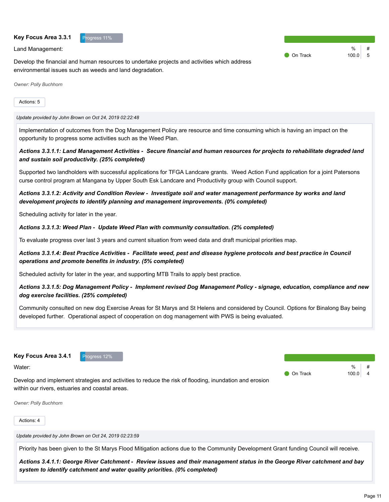#### **Key Focus Area 3.3.1** Progress 11%

Land Management:

Develop the financial and human resources to undertake projects and activities which address environmental issues such as weeds and land degradation.

 $\frac{9}{6}$ On Track  $100.0$  5

*Owner: Polly Buchhorn*

#### Actions: 5

*Update provided by John Brown on Oct 24, 2019 02:22:48*

Implementation of outcomes from the Dog Management Policy are resource and time consuming which is having an impact on the opportunity to progress some activities such as the Weed Plan.

#### *Actions 3.3.1.1: Land Management Activities - Secure financial and human resources for projects to rehabilitate degraded land and sustain soil productivity. (25% completed)*

Supported two landholders with successful applications for TFGA Landcare grants. Weed Action Fund application for a joint Patersons curse control program at Mangana by Upper South Esk Landcare and Productivity group with Council support.

#### *Actions 3.3.1.2: Activity and Condition Review - Investigate soil and water management performance by works and land development projects to identify planning and management improvements. (0% completed)*

Scheduling activity for later in the year.

#### *Actions 3.3.1.3: Weed Plan - Update Weed Plan with community consultation. (2% completed)*

To evaluate progress over last 3 years and current situation from weed data and draft municipal priorities map.

#### *Actions 3.3.1.4: Best Practice Activities - Facilitate weed, pest and disease hygiene protocols and best practice in Council operations and promote benefits in industry. (5% completed)*

Scheduled activity for later in the year, and supporting MTB Trails to apply best practice.

Develop and implement strategies and activities to reduce the risk of flooding, inundation and erosion

#### *Actions 3.3.1.5: Dog Management Policy - Implement revised Dog Management Policy - signage, education, compliance and new dog exercise facilities. (25% completed)*

Community consulted on new dog Exercise Areas for St Marys and St Helens and considered by Council. Options for Binalong Bay being developed further. Operational aspect of cooperation on dog management with PWS is being evaluated.

**Key Focus Area 3.4.1** Progress 12%

within our rivers, estuaries and coastal areas.

Water:

 $\frac{0}{0}$ **O** On Track 100.0 4

*Owner: Polly Buchhorn*

Actions: 4

*Update provided by John Brown on Oct 24, 2019 02:23:59*

Priority has been given to the St Marys Flood Mitigation actions due to the Community Development Grant funding Council will receive.

*Actions 3.4.1.1: George River Catchment - Review issues and their management status in the George River catchment and bay system to identify catchment and water quality priorities. (0% completed)*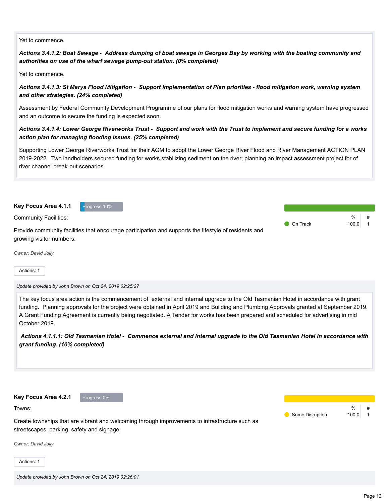#### Yet to commence.

*Actions 3.4.1.2: Boat Sewage - Address dumping of boat sewage in Georges Bay by working with the boating community and authorities on use of the wharf sewage pump-out station. (0% completed)*

Yet to commence.

*Actions 3.4.1.3: St Marys Flood Mitigation - Support implementation of Plan priorities - flood mitigation work, warning system and other strategies. (24% completed)*

Assessment by Federal Community Development Programme of our plans for flood mitigation works and warning system have progressed and an outcome to secure the funding is expected soon.

#### *Actions 3.4.1.4: Lower George Riverworks Trust - Support and work with the Trust to implement and secure funding for a works action plan for managing flooding issues. (25% completed)*

Supporting Lower George Riverworks Trust for their AGM to adopt the Lower George River Flood and River Management ACTION PLAN 2019-2022. Two landholders secured funding for works stabilizing sediment on the river; planning an impact assessment project for of river channel break-out scenarios.

**Key Focus Area 4.1.1** Progress 10%

Community Facilities:

Provide community facilities that encourage participation and supports the lifestyle of residents and growing visitor numbers.

*Owner: David Jolly*

Actions: 1

*Update provided by John Brown on Oct 24, 2019 02:25:27*

The key focus area action is the commencement of external and internal upgrade to the Old Tasmanian Hotel in accordance with grant funding. Planning approvals for the project were obtained in April 2019 and Building and Plumbing Approvals granted at September 2019. A Grant Funding Agreement is currently being negotiated. A Tender for works has been prepared and scheduled for advertising in mid October 2019.

*Actions 4.1.1.1: Old Tasmanian Hotel - Commence external and internal upgrade to the Old Tasmanian Hotel in accordance with grant funding. (10% completed)*

**Key Focus Area 4.2.1** Progress 0% Towns: Create townships that are vibrant and welcoming through improvements to infrastructure such as streetscapes, parking, safety and signage. *Owner: David Jolly* Some Disruption 100.0

Actions: 1

 $\frac{0}{c}$ 

 $\frac{0}{6}$ 

**On Track 100.0 1**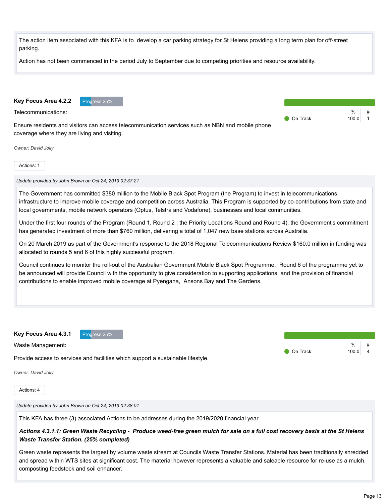

This KFA has three (3) associated Actions to be addresses during the 2019/2020 financial year.

# *Actions 4.3.1.1: Green Waste Recycling - Produce weed-free green mulch for sale on a full cost recovery basis at the St Helens Waste Transfer Station. (25% completed)*

Green waste represents the largest by volume waste stream at Councils Waste Transfer Stations. Material has been traditionally shredded and spread within WTS sites at significant cost. The material however represents a valuable and saleable resource for re-use as a mulch, composting feedstock and soil enhancer.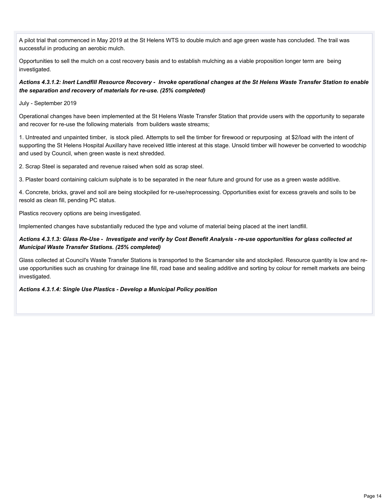A pilot trial that commenced in May 2019 at the St Helens WTS to double mulch and age green waste has concluded. The trail was successful in producing an aerobic mulch.

Opportunities to sell the mulch on a cost recovery basis and to establish mulching as a viable proposition longer term are being investigated.

#### *Actions 4.3.1.2: Inert Landfill Resource Recovery - Invoke operational changes at the St Helens Waste Transfer Station to enable the separation and recovery of materials for re-use. (25% completed)*

July - September 2019

Operational changes have been implemented at the St Helens Waste Transfer Station that provide users with the opportunity to separate and recover for re-use the following materials from builders waste streams;

1. Untreated and unpainted timber, is stock piled. Attempts to sell the timber for firewood or repurposing at \$2/load with the intent of supporting the St Helens Hospital Auxillary have received little interest at this stage. Unsold timber will however be converted to woodchip and used by Council, when green waste is next shredded.

2. Scrap Steel is separated and revenue raised when sold as scrap steel.

3. Plaster board containing calcium sulphate is to be separated in the near future and ground for use as a green waste additive.

4. Concrete, bricks, gravel and soil are being stockpiled for re-use/reprocessing. Opportunities exist for excess gravels and soils to be resold as clean fill, pending PC status.

Plastics recovery options are being investigated.

Implemented changes have substantially reduced the type and volume of material being placed at the inert landfill.

#### *Actions 4.3.1.3: Glass Re-Use - Investigate and verify by Cost Benefit Analysis - re-use opportunities for glass collected at Municipal Waste Transfer Stations. (25% completed)*

Glass collected at Council's Waste Transfer Stations is transported to the Scamander site and stockpiled. Resource quantity is low and reuse opportunities such as crushing for drainage line fill, road base and sealing additive and sorting by colour for remelt markets are being investigated.

#### *Actions 4.3.1.4: Single Use Plastics - Develop a Municipal Policy position*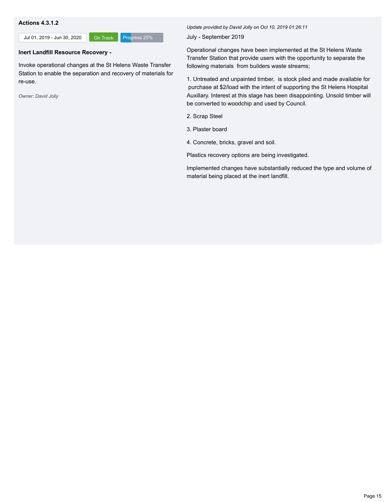#### **Actions 4.3.1.2**

Jul 01, 2019 - Jun 30, 2020 **On Track** Progress 25%

# **Inert Landfill Resource Recovery -**

Invoke operational changes at the St Helens Waste Transfer Station to enable the separation and recovery of materials for re-use.

*Owner: David Jolly*

*Update provided by David Jolly on Oct 10, 2019 01:26:11*

July - September 2019

Operational changes have been implemented at the St Helens Waste Transfer Station that provide users with the opportunity to separate the following materials from builders waste streams;

1. Untreated and unpainted timber, is stock piled and made available for purchase at \$2/load with the intent of supporting the St Helens Hospital Auxillary. Interest at this stage has been disappointing. Unsold timber will be converted to woodchip and used by Council.

- 2. Scrap Steel
- 3. Plaster board
- 4. Concrete, bricks, gravel and soil.

Plastics recovery options are being investigated.

Implemented changes have substantially reduced the type and volume of material being placed at the inert landfill.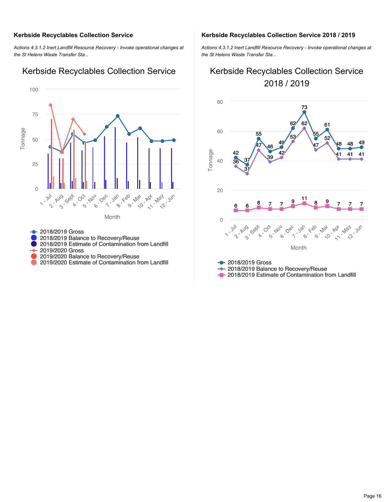### **Kerbside Recyclables Collection Service**

*Actions 4.3.1.2 Inert Landfill Resource Recovery - Invoke operational changes at the St Helens Waste Transfer Sta...*

#### Month Tonnage **1 - Jul** 2 - Aug 3 - Sept **4 - Oct** 5 - Nov 6 - Dec **1.** Jan **8 - Feb** 9 - Mar 10 - Apr 11 - May **22 - Jun** 0 25 50 75 100

Kerbside Recyclables Collection Service

#### **2018/2019 Gross** 2018/2019 Balance to Recovery/Reuse 2018/2019 Estimate of Contamination from Landfill 2019/2020 Gross 2019/2020 Balance to Recovery/Reuse

2019/2020 Estimate of Contamination from Landfill

#### **Kerbside Recyclables Collection Service 2018 / 2019**

*Actions 4.3.1.2 Inert Landfill Resource Recovery - Invoke operational changes at the St Helens Waste Transfer Sta...*

# Kerbside Recyclables Collection Service 2018 / 2019



← 2018/2019 Balance to Recovery/Reuse

**-** 2018/2019 Estimate of Contamination from Landfill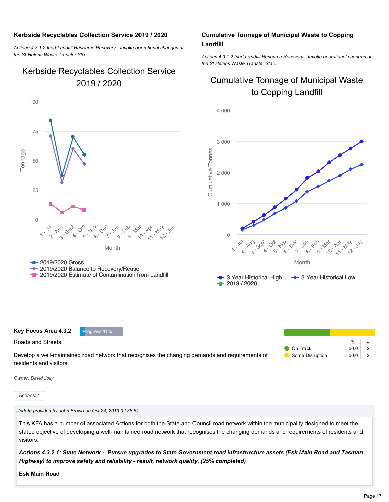#### **Kerbside Recyclables Collection Service 2019 / 2020**

*Actions 4.3.1.2 Inert Landfill Resource Recovery - Invoke operational changes at the St Helens Waste Transfer Sta...*

# Kerbside Recyclables Collection Service 2019 / 2020



## **Cumulative Tonnage of Municipal Waste to Copping Landfill**

*Actions 4.3.1.2 Inert Landfill Resource Recovery - Invoke operational changes at the St Helens Waste Transfer Sta...*

# Cumulative Tonnage of Municipal Waste to Copping Landfill



| Key Focus Area 4.3.2    | Progress 11%                                                                                    |                    |      |  |
|-------------------------|-------------------------------------------------------------------------------------------------|--------------------|------|--|
| Roads and Streets:      |                                                                                                 |                    | %    |  |
|                         |                                                                                                 | $\bullet$ On Track | 50.0 |  |
|                         | Develop a well-maintained road network that recognises the changing demands and reguirements of | Some Disruption    | 50.0 |  |
| residents and visitors. |                                                                                                 |                    |      |  |

*Owner: David Jolly*

Actions: 4

*Update provided by John Brown on Oct 24, 2019 02:38:51*

This KFA has a number of associated Actions for both the State and Council road network within the municipality designed to meet the stated objective of developing a well-maintained road network that recognises the changing demands and requirements of residents and visitors.

*Actions 4.3.2.1: State Network - Pursue upgrades to State Government road infrastructure assets (Esk Main Road and Tasman Highway) to improve safety and reliability - result, network quality. (25% completed)*

**Esk Main Road**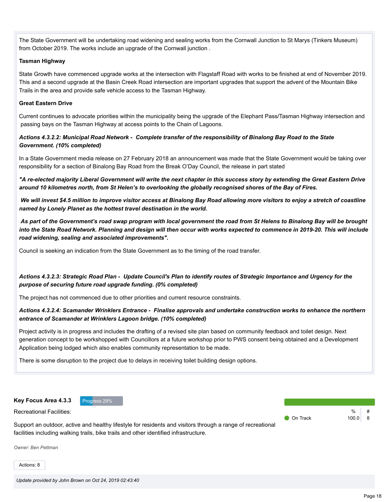The State Government will be undertaking road widening and sealing works from the Cornwall Junction to St Marys (Tinkers Museum) from October 2019. The works include an upgrade of the Cornwall junction .

#### **Tasman Highway**

State Growth have commenced upgrade works at the intersection with Flagstaff Road with works to be finished at end of November 2019. This and a second upgrade at the Basin Creek Road intersection are important upgrades that support the advent of the Mountain Bike Trails in the area and provide safe vehicle access to the Tasman Highway.

#### **Great Eastern Drive**

Current continues to advocate priorities within the municipality being the upgrade of the Elephant Pass/Tasman Highway intersection and passing bays on the Tasman Highway at access points to the Chain of Lagoons.

#### *Actions 4.3.2.2: Municipal Road Network - Complete transfer of the responsibility of Binalong Bay Road to the State Government. (10% completed)*

In a State Government media release on 27 February 2018 an announcement was made that the State Government would be taking over responsibility for a section of Binalong Bay Road from the Break O'Day Council, the release in part stated

*"A re-elected majority Liberal Government will write the next chapter in this success story by extending the Great Eastern Drive around 10 kilometres north, from St Helen's to overlooking the globally recognised shores of the Bay of Fires.*

*We will invest \$4.5 million to improve visitor access at Binalong Bay Road allowing more visitors to enjoy a stretch of coastline named by Lonely Planet as the hottest travel destination in the world.*

*As part of the Government's road swap program with local government the road from St Helens to Binalong Bay will be brought into the State Road Network. Planning and design will then occur with works expected to commence in 2019-20. This will include road widening, sealing and associated improvements".*

Council is seeking an indication from the State Government as to the timing of the road transfer.

# *Actions 4.3.2.3: Strategic Road Plan - Update Council's Plan to identify routes of Strategic Importance and Urgency for the purpose of securing future road upgrade funding. (0% completed)*

The project has not commenced due to other priorities and current resource constraints.

#### *Actions 4.3.2.4: Scamander Wrinklers Entrance - Finalise approvals and undertake construction works to enhance the northern entrance of Scamander at Wrinklers Lagoon bridge. (10% completed)*

Project activity is in progress and includes the drafting of a revised site plan based on community feedback and toilet design. Next generation concept to be workshopped with Councillors at a future workshop prior to PWS consent being obtained and a Development Application being lodged which also enables community representation to be made.

There is some disruption to the project due to delays in receiving toilet building design options.

**Key Focus Area 4.3.3** Progress 29%

Recreational Facilities:

Support an outdoor, active and healthy lifestyle for residents and visitors through a range of recreational facilities including walking trails, bike trails and other identified infrastructure.

*Owner: Ben Pettman*

Actions: 8

 $\frac{0}{6}$ 

**On Track** 100.0 8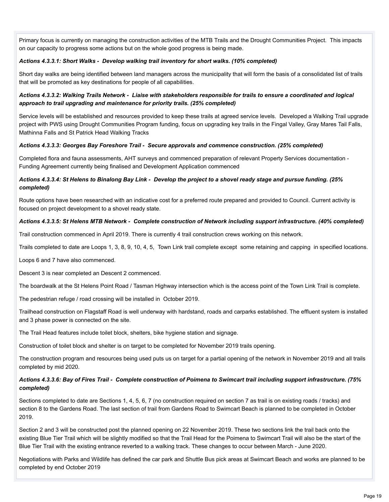Primary focus is currently on managing the construction activities of the MTB Trails and the Drought Communities Project. This impacts on our capacity to progress some actions but on the whole good progress is being made.

## *Actions 4.3.3.1: Short Walks - Develop walking trail inventory for short walks. (10% completed)*

Short day walks are being identified between land managers across the municipality that will form the basis of a consolidated list of trails that will be promoted as key destinations for people of all capabilities.

# *Actions 4.3.3.2: Walking Trails Network - Liaise with stakeholders responsible for trails to ensure a coordinated and logical approach to trail upgrading and maintenance for priority trails. (25% completed)*

Service levels will be established and resources provided to keep these trails at agreed service levels. Developed a Walking Trail upgrade project with PWS using Drought Communities Program funding, focus on upgrading key trails in the Fingal Valley, Gray Mares Tail Falls, Mathinna Falls and St Patrick Head Walking Tracks

#### *Actions 4.3.3.3: Georges Bay Foreshore Trail - Secure approvals and commence construction. (25% completed)*

Completed flora and fauna assessments, AHT surveys and commenced preparation of relevant Property Services documentation - Funding Agreement currently being finalised and Development Application commenced

## *Actions 4.3.3.4: St Helens to Binalong Bay Link - Develop the project to a shovel ready stage and pursue funding. (25% completed)*

Route options have been researched with an indicative cost for a preferred route prepared and provided to Council. Current activity is focused on project development to a shovel ready state.

#### *Actions 4.3.3.5: St Helens MTB Network - Complete construction of Network including support infrastructure. (40% completed)*

Trail construction commenced in April 2019. There is currently 4 trail construction crews working on this network.

Trails completed to date are Loops 1, 3, 8, 9, 10, 4, 5, Town Link trail complete except some retaining and capping in specified locations.

Loops 6 and 7 have also commenced.

Descent 3 is near completed an Descent 2 commenced.

The boardwalk at the St Helens Point Road / Tasman Highway intersection which is the access point of the Town Link Trail is complete.

The pedestrian refuge / road crossing will be installed in October 2019.

Trailhead construction on Flagstaff Road is well underway with hardstand, roads and carparks established. The effluent system is installed and 3 phase power is connected on the site.

The Trail Head features include toilet block, shelters, bike hygiene station and signage.

Construction of toilet block and shelter is on target to be completed for November 2019 trails opening.

The construction program and resources being used puts us on target for a partial opening of the network in November 2019 and all trails completed by mid 2020.

#### *Actions 4.3.3.6: Bay of Fires Trail - Complete construction of Poimena to Swimcart trail including support infrastructure. (75% completed)*

Sections completed to date are Sections 1, 4, 5, 6, 7 (no construction required on section 7 as trail is on existing roads / tracks) and section 8 to the Gardens Road. The last section of trail from Gardens Road to Swimcart Beach is planned to be completed in October 2019.

Section 2 and 3 will be constructed post the planned opening on 22 November 2019. These two sections link the trail back onto the existing Blue Tier Trail which will be slightly modified so that the Trail Head for the Poimena to Swimcart Trail will also be the start of the Blue Tier Trail with the existing entrance reverted to a walking track. These changes to occur between March - June 2020.

Negotiations with Parks and Wildlife has defined the car park and Shuttle Bus pick areas at Swimcart Beach and works are planned to be completed by end October 2019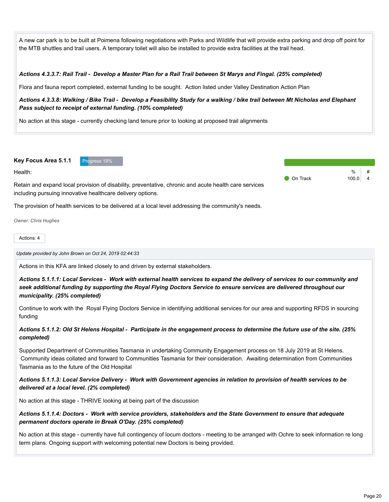A new car park is to be built at Poimena following negotiations with Parks and Wildlife that will provide extra parking and drop off point for the MTB shuttles and trail users. A temporary toilet will also be installed to provide extra facilities at the trail head.

#### *Actions 4.3.3.7: Rail Trail - Develop a Master Plan for a Rail Trail between St Marys and Fingal. (25% completed)*

Flora and fauna report completed, external funding to be sought. Action listed under Valley Destination Action Plan

#### *Actions 4.3.3.8: Walking / Bike Trail - Develop a Feasibility Study for a walking / bike trail between Mt Nicholas and Elephant Pass subject to receipt of external funding. (10% completed)*

No action at this stage - currently checking land tenure prior to looking at proposed trail alignments

#### **Key Focus Area 5.1.1** Progress 19%

Health:

Retain and expand local provision of disability, preventative, chronic and acute health care services including pursuing innovative healthcare delivery options.

The provision of health services to be delivered at a local level addressing the community's needs.

*Owner: Chris Hughes*

#### Actions: 4

*Update provided by John Brown on Oct 24, 2019 02:44:33*

Actions in this KFA are linked closely to and driven by external stakeholders.

*Actions 5.1.1.1: Local Services - Work with external health services to expand the delivery of services to our community and seek additional funding by supporting the Royal Flying Doctors Service to ensure services are delivered throughout our municipality. (25% completed)*

Continue to work with the Royal Flying Doctors Service in identifying additional services for our area and supporting RFDS in sourcing funding

#### *Actions 5.1.1.2: Old St Helens Hospital - Participate in the engagement process to determine the future use of the site. (25% completed)*

Supported Department of Communities Tasmania in undertaking Community Engagement process on 18 July 2019 at St Helens. Community ideas collated and forward to Communities Tasmania for their consideration. Awaiting determination from Communities Tasmania as to the future of the Old Hospital

#### *Actions 5.1.1.3: Local Service Delivery - Work with Government agencies in relation to provision of health services to be delivered at a local level. (2% completed)*

No action at this stage - THRIVE looking at being part of the discussion

#### *Actions 5.1.1.4: Doctors - Work with service providers, stakeholders and the State Government to ensure that adequate permanent doctors operate in Break O'Day. (25% completed)*

No action at this stage - currently have full contingency of locum doctors - meeting to be arranged with Ochre to seek information re long term plans. Ongoing support with welcoming potential new Doctors is being provided.

|                   | $\frac{0}{0}$ | #  |
|-------------------|---------------|----|
| <b>O</b> On Track | 100.0         | -4 |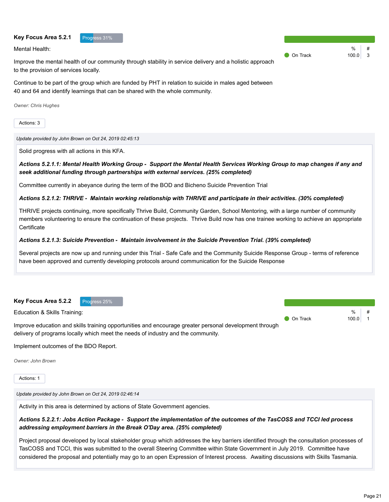#### **Key Focus Area 5.2.1** Progress 31%

Mental Health:

Improve the mental health of our community through stability in service delivery and a holistic approach to the provision of services locally.

Continue to be part of the group which are funded by PHT in relation to suicide in males aged between 40 and 64 and identify learnings that can be shared with the whole community.

*Owner: Chris Hughes*

Actions: 3

*Update provided by John Brown on Oct 24, 2019 02:45:13*

Solid progress with all actions in this KFA.

*Actions 5.2.1.1: Mental Health Working Group - Support the Mental Health Services Working Group to map changes if any and seek additional funding through partnerships with external services. (25% completed)*

Committee currently in abeyance during the term of the BOD and Bicheno Suicide Prevention Trial

*Actions 5.2.1.2: THRIVE - Maintain working relationship with THRIVE and participate in their activities. (30% completed)*

THRIVE projects continuing, more specifically Thrive Build, Community Garden, School Mentoring, with a large number of community members volunteering to ensure the continuation of these projects. Thrive Build now has one trainee working to achieve an appropriate **Certificate** 

#### *Actions 5.2.1.3: Suicide Prevention - Maintain involvement in the Suicide Prevention Trial. (39% completed)*

Several projects are now up and running under this Trial - Safe Cafe and the Community Suicide Response Group - terms of reference have been approved and currently developing protocols around communication for the Suicide Response



Implement outcomes of the BDO Report.

*Owner: John Brown*

Actions: 1

*Update provided by John Brown on Oct 24, 2019 02:46:14*

Activity in this area is determined by actions of State Government agencies.

# *Actions 5.2.2.1: Jobs Action Package - Support the implementation of the outcomes of the TasCOSS and TCCI led process addressing employment barriers in the Break O'Day area. (25% completed)*

Project proposal developed by local stakeholder group which addresses the key barriers identified through the consultation processes of TasCOSS and TCCI, this was submitted to the overall Steering Committee within State Government in July 2019. Committee have considered the proposal and potentially may go to an open Expression of Interest process. Awaiting discussions with Skills Tasmania.

|                    | %         | # |
|--------------------|-----------|---|
| $\bullet$ On Track | $100.0$ 3 |   |
|                    |           |   |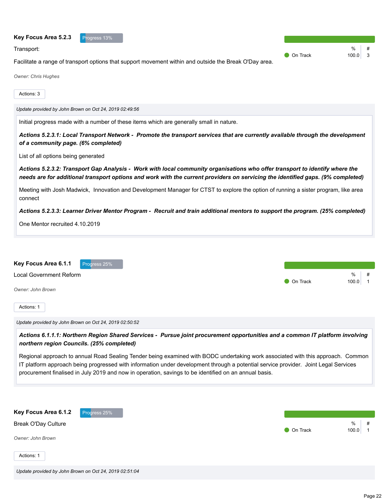| Transport:                                                                                                                                                                                                                                                                                                                                                                                                                                                                                                                                                   | $\bullet$ On Track | %<br>100.0<br>$\overline{\mathbf{3}}$ |
|--------------------------------------------------------------------------------------------------------------------------------------------------------------------------------------------------------------------------------------------------------------------------------------------------------------------------------------------------------------------------------------------------------------------------------------------------------------------------------------------------------------------------------------------------------------|--------------------|---------------------------------------|
| Facilitate a range of transport options that support movement within and outside the Break O'Day area.                                                                                                                                                                                                                                                                                                                                                                                                                                                       |                    |                                       |
| <b>Owner: Chris Hughes</b>                                                                                                                                                                                                                                                                                                                                                                                                                                                                                                                                   |                    |                                       |
| Actions: 3                                                                                                                                                                                                                                                                                                                                                                                                                                                                                                                                                   |                    |                                       |
| Update provided by John Brown on Oct 24, 2019 02:49:56                                                                                                                                                                                                                                                                                                                                                                                                                                                                                                       |                    |                                       |
| Initial progress made with a number of these items which are generally small in nature.                                                                                                                                                                                                                                                                                                                                                                                                                                                                      |                    |                                       |
| Actions 5.2.3.1: Local Transport Network - Promote the transport services that are currently available through the development<br>of a community page. (6% completed)                                                                                                                                                                                                                                                                                                                                                                                        |                    |                                       |
| List of all options being generated                                                                                                                                                                                                                                                                                                                                                                                                                                                                                                                          |                    |                                       |
| Actions 5.2.3.2: Transport Gap Analysis - Work with local community organisations who offer transport to identify where the<br>needs are for additional transport options and work with the current providers on servicing the identified gaps. (9% completed)                                                                                                                                                                                                                                                                                               |                    |                                       |
| Meeting with Josh Madwick, Innovation and Development Manager for CTST to explore the option of running a sister program, like area<br>connect                                                                                                                                                                                                                                                                                                                                                                                                               |                    |                                       |
| Actions 5.2.3.3: Learner Driver Mentor Program - Recruit and train additional mentors to support the program. (25% completed)                                                                                                                                                                                                                                                                                                                                                                                                                                |                    |                                       |
| One Mentor recruited 4.10.2019                                                                                                                                                                                                                                                                                                                                                                                                                                                                                                                               |                    |                                       |
| Key Focus Area 6.1.1<br>Progress 25%<br><b>Local Government Reform</b><br>Owner: John Brown<br>Actions: 1                                                                                                                                                                                                                                                                                                                                                                                                                                                    | <b>On Track</b>    | %<br>100.0<br>$\overline{1}$          |
| Update provided by John Brown on Oct 24, 2019 02:50:52                                                                                                                                                                                                                                                                                                                                                                                                                                                                                                       |                    |                                       |
| Actions 6.1.1.1: Northern Region Shared Services - Pursue joint procurement opportunities and a common IT platform involving<br>northern region Councils. (25% completed)<br>Regional approach to annual Road Sealing Tender being examined with BODC undertaking work associated with this approach. Common<br>IT platform approach being progressed with information under development through a potential service provider. Joint Legal Services<br>procurement finalised in July 2019 and now in operation, savings to be identified on an annual basis. |                    |                                       |
| Key Focus Area 6.1.2<br>Progress 25%                                                                                                                                                                                                                                                                                                                                                                                                                                                                                                                         |                    |                                       |

● On Track 100.0 1

Actions: 1

Break O'Day Culture

*Owner: John Brown*

**Key Focus Area 5.2.3** Progress 13%

% #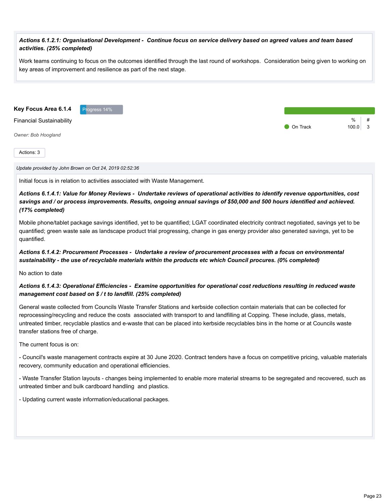#### *Actions 6.1.2.1: Organisational Development - Continue focus on service delivery based on agreed values and team based activities. (25% completed)*

Work teams continuing to focus on the outcomes identified through the last round of workshops. Consideration being given to working on key areas of improvement and resilience as part of the next stage.

**Key Focus Area 6.1.4** Progress 14%

Financial Sustainability

*Owner: Bob Hoogland*

Actions: 3

*Update provided by John Brown on Oct 24, 2019 02:52:36*

Initial focus is in relation to activities associated with Waste Management.

*Actions 6.1.4.1: Value for Money Reviews - Undertake reviews of operational activities to identify revenue opportunities, cost savings and / or process improvements. Results, ongoing annual savings of \$50,000 and 500 hours identified and achieved. (17% completed)*

Mobile phone/tablet package savings identified, yet to be quantified; LGAT coordinated electricity contract negotiated, savings yet to be quantified; green waste sale as landscape product trial progressing, change in gas energy provider also generated savings, yet to be quantified.

### *Actions 6.1.4.2: Procurement Processes - Undertake a review of procurement processes with a focus on environmental sustainability - the use of recyclable materials within the products etc which Council procures. (0% completed)*

No action to date

#### *Actions 6.1.4.3: Operational Efficiencies - Examine opportunities for operational cost reductions resulting in reduced waste management cost based on \$ / t to landfill. (25% completed)*

General waste collected from Councils Waste Transfer Stations and kerbside collection contain materials that can be collected for reprocessing/recycling and reduce the costs associated with transport to and landfilling at Copping. These include, glass, metals, untreated timber, recyclable plastics and e-waste that can be placed into kerbside recyclables bins in the home or at Councils waste transfer stations free of charge.

The current focus is on:

- Council's waste management contracts expire at 30 June 2020. Contract tenders have a focus on competitive pricing, valuable materials recovery, community education and operational efficiencies.

- Waste Transfer Station layouts - changes being implemented to enable more material streams to be segregated and recovered, such as untreated timber and bulk cardboard handling and plastics.

- Updating current waste information/educational packages.

% #

**O** On Track 100.0 3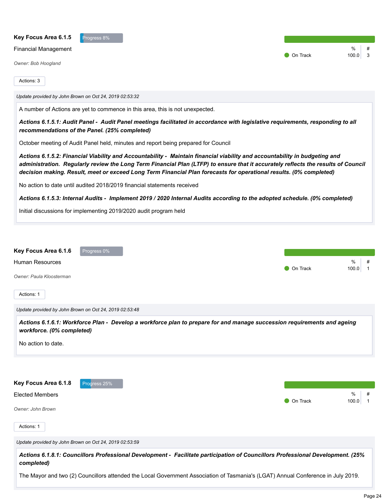| Key Focus Area 6.1.5<br>Progress 8%<br><b>Financial Management</b><br>Owner: Bob Hoogland                                                                                                                                                                                                                                                                                                                                                                                                                                                                                                                                                                                                                                                                                                                                                                                                                                                                                                                                                                                                             | On Track | %<br>#<br>3<br>100.0              |
|-------------------------------------------------------------------------------------------------------------------------------------------------------------------------------------------------------------------------------------------------------------------------------------------------------------------------------------------------------------------------------------------------------------------------------------------------------------------------------------------------------------------------------------------------------------------------------------------------------------------------------------------------------------------------------------------------------------------------------------------------------------------------------------------------------------------------------------------------------------------------------------------------------------------------------------------------------------------------------------------------------------------------------------------------------------------------------------------------------|----------|-----------------------------------|
| Actions: 3<br>Update provided by John Brown on Oct 24, 2019 02:53:32<br>A number of Actions are yet to commence in this area, this is not unexpected.<br>Actions 6.1.5.1: Audit Panel - Audit Panel meetings facilitated in accordance with legislative requirements, responding to all<br>recommendations of the Panel. (25% completed)<br>October meeting of Audit Panel held, minutes and report being prepared for Council<br>Actions 6.1.5.2: Financial Viability and Accountability - Maintain financial viability and accountability in budgeting and<br>administration. Regularly review the Long Term Financial Plan (LTFP) to ensure that it accurately reflects the results of Council<br>decision making. Result, meet or exceed Long Term Financial Plan forecasts for operational results. (0% completed)<br>No action to date until audited 2018/2019 financial statements received<br>Actions 6.1.5.3: Internal Audits - Implement 2019 / 2020 Internal Audits according to the adopted schedule. (0% completed)<br>Initial discussions for implementing 2019/2020 audit program held |          |                                   |
| Key Focus Area 6.1.6<br>Progress 0%<br><b>Human Resources</b><br>Owner: Paula Kloosterman<br>Actions: 1<br>Update provided by John Brown on Oct 24, 2019 02:53:48<br>Actions 6.1.6.1: Workforce Plan - Develop a workforce plan to prepare for and manage succession requirements and ageing<br>workforce. (0% completed)                                                                                                                                                                                                                                                                                                                                                                                                                                                                                                                                                                                                                                                                                                                                                                             | On Track | %<br>#<br>100.0<br>$\overline{1}$ |
| No action to date.<br>Key Focus Area 6.1.8<br>Progress 25%<br><b>Elected Members</b><br>Owner: John Brown<br>Actions: 1                                                                                                                                                                                                                                                                                                                                                                                                                                                                                                                                                                                                                                                                                                                                                                                                                                                                                                                                                                               | On Track | $\%$<br>100.0<br>$\overline{1}$   |

*Update provided by John Brown on Oct 24, 2019 02:53:59*

*Actions 6.1.8.1: Councillors Professional Development - Facilitate participation of Councillors Professional Development. (25% completed)*

The Mayor and two (2) Councillors attended the Local Government Association of Tasmania's (LGAT) Annual Conference in July 2019.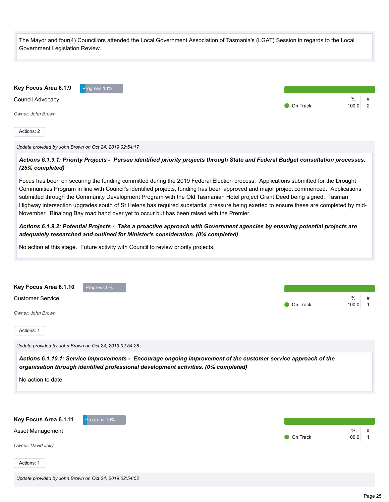The Mayor and four(4) Councillors attended the Local Government Association of Tasmania's (LGAT) Session in regards to the Local Government Legislation Review.



*Update provided by John Brown on Oct 24, 2019 02:54:17*

*Actions 6.1.9.1: Priority Projects - Pursue identified priority projects through State and Federal Budget consultation processes. (25% completed)*

Focus has been on securing the funding committed during the 2019 Federal Election process. Applications submitted for the Drought Communities Program in line with Council's identified projects, funding has been approved and major project commenced. Applications submitted through the Community Development Program with the Old Tasmanian Hotel project Grant Deed being signed. Tasman Highway intersection upgrades south of St Helens has required substantial pressure being exerted to ensure these are completed by mid-November. Binalong Bay road hand over yet to occur but has been raised with the Premier.

*Actions 6.1.9.2: Potential Projects - Take a proactive approach with Government agencies by ensuring potential projects are adequately researched and outlined for Minister's consideration. (0% completed)*

No action at this stage. Future activity with Council to review priority projects.



No action to date

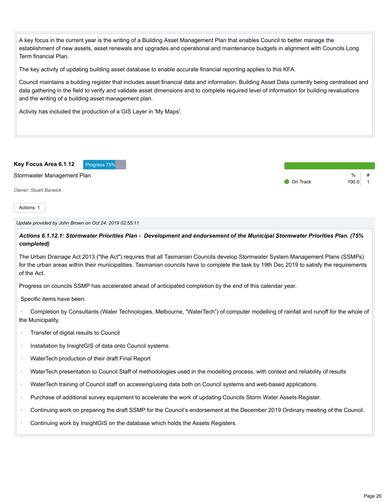A key focus in the current year is the writing of a Building Asset Management Plan that enables Council to better manage the establishment of new assets, asset renewals and upgrades and operational and maintenance budgets in alignment with Councils Long Term financial Plan.

The key activity of updating building asset database to enable accurate financial reporting applies to this KFA.

Council maintains a building register that includes asset financial data and information. Building Asset Data currently being centralised and data gathering in the field to verify and validate asset dimensions and to complete required level of information for building revaluations and the writing of a building asset management plan.

Activity has included the production of a GIS Layer in 'My Maps'.



Actions: 1

*Update provided by John Brown on Oct 24, 2019 02:55:11*

*Actions 6.1.12.1: Stormwater Priorities Plan - Development and endorsement of the Municipal Stormwater Priorities Plan. (75% completed)*

The Urban Drainage Act 2013 ("the Act") requires that all Tasmanian Councils develop Stormwater System Management Plans (SSMPs) for the urban areas within their municipalities. Tasmanian councils have to complete the task by 19th Dec 2019 to satisfy the requirements of the Act.

Progress on councils SSMP has accelerated ahead of anticipated completion by the end of this calendar year.

Specific items have been:

· Completion by Consultants (Water Technologies, Melbourne, "WaterTech") of computer modelling of rainfall and runoff for the whole of the Municipality.

- · Transfer of digital results to Council
- · Installation by InsightGIS of data onto Council systems
- · WaterTech production of their draft Final Report
- · WaterTech presentation to Council Staff of methodologies used in the modelling process, with context and reliability of results
- · WaterTech training of Council staff on accessing/using data both on Council systems and web-based applications.
- · Purchase of additional survey equipment to accelerate the work of updating Councils Storm Water Assets Register.
- · Continuing work on preparing the draft SSMP for the Council's endorsement at the December 2019 Ordinary meeting of the Council.
- · Continuing work by InsightGIS on the database which holds the Assets Registers.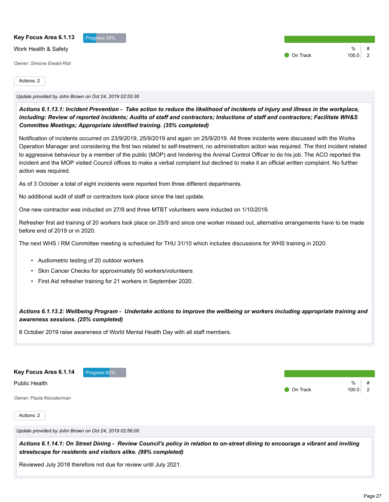| Key Focus Area 6.1.13           | Progress 30% |       |   |
|---------------------------------|--------------|-------|---|
| Work Health & Safety            |              | %     |   |
|                                 | On Track     | 100.0 | 2 |
| <b>Owner: Simone Ewald-Rist</b> |              |       |   |
|                                 |              |       |   |
| Actions: 2                      |              |       |   |

*Update provided by John Brown on Oct 24, 2019 02:55:36*

*Actions 6.1.13.1: Incident Prevention - Take action to reduce the likelihood of incidents of injury and illness in the workplace, including: Review of reported incidents; Audits of staff and contractors; Inductions of staff and contractors; Facilitate WH&S Committee Meetings; Appropriate identified training. (35% completed)*

Notification of incidents occurred on 23/9/2019, 25/9/2019 and again on 25/9/2019. All three incidents were discussed with the Works Operation Manager and considering the first two related to self-treatment, no administration action was required. The third incident related to aggressive behaviour by a member of the public (MOP) and hindering the Animal Control Officer to do his job. The ACO reported the incident and the MOP visited Council offices to make a verbal complaint but declined to make it an official written complaint. No further action was required.

As of 3 October a total of eight incidents were reported from three different departments.

No additional audit of staff or contractors took place since the last update.

One new contractor was inducted on 27/9 and three MTBT volunteers were inducted on 1/10/2019.

Refresher first aid training of 20 workers took place on 25/9 and since one worker missed out, alternative arrangements have to be made before end of 2019 or in 2020.

The next WHS / RM Committee meeting is scheduled for THU 31/10 which includes discussions for WHS training in 2020.

- Audiometric testing of 20 outdoor workers
- Skin Cancer Checks for approximately 50 workers/volunteers
- First Aid refresher training for 21 workers in September 2020.

*Actions 6.1.13.2: Wellbeing Program - Undertake actions to improve the wellbeing or workers including appropriate training and awareness sessions. (25% completed)*

8 October 2019 raise awareness of World Mental Health Day with all staff members.

**Key Focus Area 6.1.14** Progress 62%

Public Health

*Owner: Paula Kloosterman*

Actions: 2

*Update provided by John Brown on Oct 24, 2019 02:56:00*

*Actions 6.1.14.1: On Street Dining - Review Council's policy in relation to on-street dining to encourage a vibrant and inviting streetscape for residents and visitors alike. (99% completed)*

Reviewed July 2018 therefore not due for review until July 2021.

 $\frac{0}{6}$ 

**On Track** 100.0 2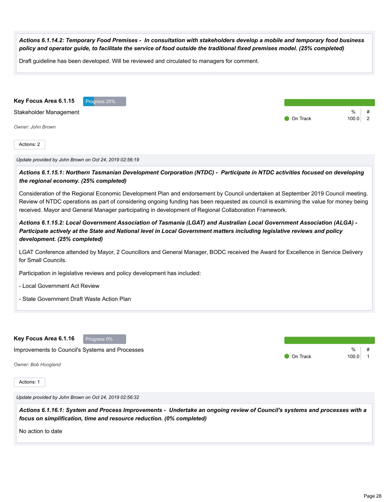| Actions 6.1.14.2: Temporary Food Premises - In consultation with stakeholders develop a mobile and temporary food business<br>policy and operator guide, to facilitate the service of food outside the traditional fixed premises model. (25% completed)                                                                                                                           |                                                         |
|------------------------------------------------------------------------------------------------------------------------------------------------------------------------------------------------------------------------------------------------------------------------------------------------------------------------------------------------------------------------------------|---------------------------------------------------------|
| Draft guideline has been developed. Will be reviewed and circulated to managers for comment.                                                                                                                                                                                                                                                                                       |                                                         |
|                                                                                                                                                                                                                                                                                                                                                                                    |                                                         |
| Key Focus Area 6.1.15<br>Progress 25%                                                                                                                                                                                                                                                                                                                                              |                                                         |
| Stakeholder Management                                                                                                                                                                                                                                                                                                                                                             | %<br>#<br>$\overline{2}$<br>$\bullet$ On Track<br>100.0 |
| Owner: John Brown                                                                                                                                                                                                                                                                                                                                                                  |                                                         |
| Actions: 2                                                                                                                                                                                                                                                                                                                                                                         |                                                         |
| Update provided by John Brown on Oct 24, 2019 02:56:19                                                                                                                                                                                                                                                                                                                             |                                                         |
| Actions 6.1.15.1: Northern Tasmanian Development Corporation (NTDC) - Participate in NTDC activities focused on developing<br>the regional economy. (25% completed)                                                                                                                                                                                                                |                                                         |
| Consideration of the Regional Economic Development Plan and endorsement by Council undertaken at September 2019 Council meeting.<br>Review of NTDC operations as part of considering ongoing funding has been requested as council is examining the value for money being<br>received. Mayor and General Manager participating in development of Regional Collaboration Framework. |                                                         |
| Actions 6.1.15.2: Local Government Association of Tasmania (LGAT) and Australian Local Government Association (ALGA) -<br>Participate actively at the State and National level in Local Government matters including legislative reviews and policy<br>development. (25% completed)                                                                                                |                                                         |
| LGAT Conference attended by Mayor, 2 Councillors and General Manager, BODC received the Award for Excellence in Service Delivery<br>for Small Councils.                                                                                                                                                                                                                            |                                                         |
| Participation in legislative reviews and policy development has included:                                                                                                                                                                                                                                                                                                          |                                                         |
| - Local Government Act Review                                                                                                                                                                                                                                                                                                                                                      |                                                         |
| - State Government Draft Waste Action Plan                                                                                                                                                                                                                                                                                                                                         |                                                         |
|                                                                                                                                                                                                                                                                                                                                                                                    |                                                         |
| Key Focus Area 6.1.16<br>Progress 0%                                                                                                                                                                                                                                                                                                                                               |                                                         |
| Improvements to Council's Systems and Processes                                                                                                                                                                                                                                                                                                                                    | %<br>On Track<br>100.0<br>$\mathbf 1$                   |
| Owner: Bob Hoogland                                                                                                                                                                                                                                                                                                                                                                |                                                         |
| Actions: 1                                                                                                                                                                                                                                                                                                                                                                         |                                                         |
| Update provided by John Brown on Oct 24, 2019 02:56:32                                                                                                                                                                                                                                                                                                                             |                                                         |
| Actions 6.1.16.1: System and Process Improvements - Undertake an ongoing review of Council's systems and processes with a<br>focus on simplification, time and resource reduction. (0% completed)                                                                                                                                                                                  |                                                         |
|                                                                                                                                                                                                                                                                                                                                                                                    |                                                         |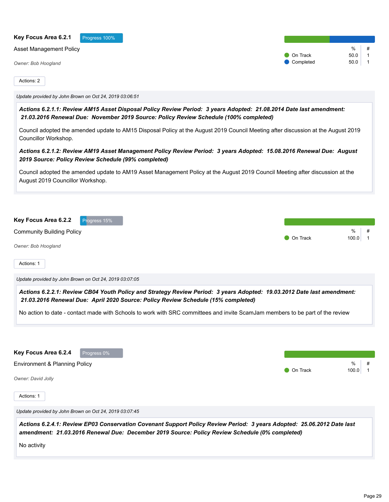| Key Focus Area 6.2.1<br>Progress 100%                                                                                                                                                                                    |                 |                                |
|--------------------------------------------------------------------------------------------------------------------------------------------------------------------------------------------------------------------------|-----------------|--------------------------------|
| <b>Asset Management Policy</b>                                                                                                                                                                                           | On Track        | %<br>#<br>50.0<br>$\mathbf{1}$ |
| Owner: Bob Hoogland                                                                                                                                                                                                      | Completed       | 50.0<br>1                      |
| Actions: 2                                                                                                                                                                                                               |                 |                                |
| Update provided by John Brown on Oct 24, 2019 03:06:51                                                                                                                                                                   |                 |                                |
| Actions 6.2.1.1: Review AM15 Asset Disposal Policy Review Period: 3 years Adopted: 21.08.2014 Date last amendment:<br>21.03.2016 Renewal Due: November 2019 Source: Policy Review Schedule (100% completed)              |                 |                                |
| Council adopted the amended update to AM15 Disposal Policy at the August 2019 Council Meeting after discussion at the August 2019<br>Councillor Workshop.                                                                |                 |                                |
| Actions 6.2.1.2: Review AM19 Asset Management Policy Review Period: 3 years Adopted: 15.08.2016 Renewal Due: August<br>2019 Source: Policy Review Schedule (99% completed)                                               |                 |                                |
| Council adopted the amended update to AM19 Asset Management Policy at the August 2019 Council Meeting after discussion at the<br>August 2019 Councillor Workshop.                                                        |                 |                                |
| Key Focus Area 6.2.2<br>Progress 15%                                                                                                                                                                                     |                 |                                |
| <b>Community Building Policy</b>                                                                                                                                                                                         |                 | %<br>#                         |
| Owner: Bob Hoogland                                                                                                                                                                                                      | On Track        | 100.0<br>$\mathbf 1$           |
| Actions: 1                                                                                                                                                                                                               |                 |                                |
| Update provided by John Brown on Oct 24, 2019 03:07:05                                                                                                                                                                   |                 |                                |
|                                                                                                                                                                                                                          |                 |                                |
| Actions 6.2.2.1: Review CB04 Youth Policy and Strategy Review Period: 3 years Adopted: 19.03.2012 Date last amendment:<br>21.03.2016 Renewal Due: April 2020 Source: Policy Review Schedule (15% completed)              |                 |                                |
| No action to date - contact made with Schools to work with SRC committees and invite ScamJam members to be part of the review                                                                                            |                 |                                |
|                                                                                                                                                                                                                          |                 |                                |
| Key Focus Area 6.2.4<br>Progress 0%                                                                                                                                                                                      |                 |                                |
| Environment & Planning Policy                                                                                                                                                                                            |                 | %                              |
|                                                                                                                                                                                                                          | <b>On Track</b> | 100.0<br>$\overline{1}$        |
| Owner: David Jolly<br>Actions: 1                                                                                                                                                                                         |                 |                                |
| Update provided by John Brown on Oct 24, 2019 03:07:45                                                                                                                                                                   |                 |                                |
| Actions 6.2.4.1: Review EP03 Conservation Covenant Support Policy Review Period: 3 years Adopted: 25.06.2012 Date last<br>amendment: 21.03.2016 Renewal Due: December 2019 Source: Policy Review Schedule (0% completed) |                 |                                |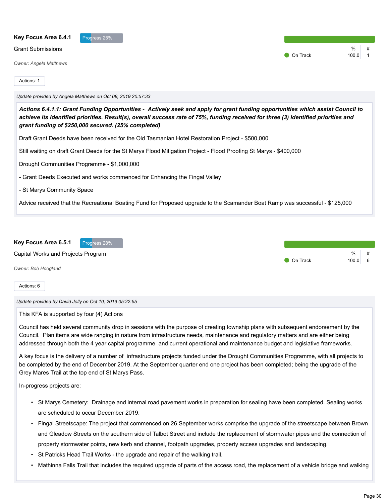| Key Focus Area 6.4.1<br>Progress 25%                                                                                                                                                                                                                                                                                         |          |       |  |
|------------------------------------------------------------------------------------------------------------------------------------------------------------------------------------------------------------------------------------------------------------------------------------------------------------------------------|----------|-------|--|
| <b>Grant Submissions</b>                                                                                                                                                                                                                                                                                                     |          | $\%$  |  |
| <b>Owner: Angela Matthews</b>                                                                                                                                                                                                                                                                                                | On Track | 100.0 |  |
| Actions: 1                                                                                                                                                                                                                                                                                                                   |          |       |  |
| Update provided by Angela Matthews on Oct 08, 2019 20:57:33                                                                                                                                                                                                                                                                  |          |       |  |
| Actions 6.4.1.1: Grant Funding Opportunities - Actively seek and apply for grant funding opportunities which assist Council to<br>achieve its identified priorities. Result(s), overall success rate of 75%, funding received for three (3) identified priorities and<br>grant funding of \$250,000 secured. (25% completed) |          |       |  |
| Draft Grant Deeds have been received for the Old Tasmanian Hotel Restoration Project - \$500,000                                                                                                                                                                                                                             |          |       |  |
| Still waiting on draft Grant Deeds for the St Marys Flood Mitigation Project - Flood Proofing St Marys - \$400,000                                                                                                                                                                                                           |          |       |  |
| Drought Communities Programme - \$1,000,000                                                                                                                                                                                                                                                                                  |          |       |  |
| - Grant Deeds Executed and works commenced for Enhancing the Fingal Valley                                                                                                                                                                                                                                                   |          |       |  |
| - St Marys Community Space                                                                                                                                                                                                                                                                                                   |          |       |  |
| Advice received that the Recreational Boating Fund for Proposed upgrade to the Scamander Boat Ramp was successful - \$125,000                                                                                                                                                                                                |          |       |  |
|                                                                                                                                                                                                                                                                                                                              |          |       |  |



*Update provided by David Jolly on Oct 10, 2019 05:22:55*

This KFA is supported by four (4) Actions

Council has held several community drop in sessions with the purpose of creating township plans with subsequent endorsement by the Council. Plan items are wide ranging in nature from infrastructure needs, maintenance and regulatory matters and are either being addressed through both the 4 year capital programme and current operational and maintenance budget and legislative frameworks.

A key focus is the delivery of a number of infrastructure projects funded under the Drought Communities Programme, with all projects to be completed by the end of December 2019. At the September quarter end one project has been completed; being the upgrade of the Grey Mares Trail at the top end of St Marys Pass.

In-progress projects are:

- St Marys Cemetery: Drainage and internal road pavement works in preparation for sealing have been completed. Sealing works are scheduled to occur December 2019.
- Fingal Streetscape: The project that commenced on 26 September works comprise the upgrade of the streetscape between Brown and Gleadow Streets on the southern side of Talbot Street and include the replacement of stormwater pipes and the connection of property stormwater points, new kerb and channel, footpath upgrades, property access upgrades and landscaping.
- St Patricks Head Trail Works the upgrade and repair of the walking trail.
- Mathinna Falls Trail that includes the required upgrade of parts of the access road, the replacement of a vehicle bridge and walking